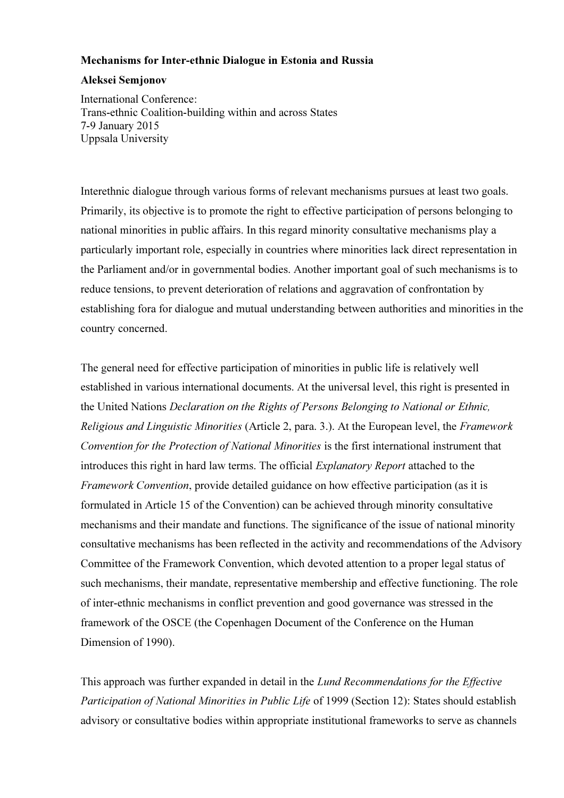# Mechanisms for Inter-ethnic Dialogue in Estonia and Russia

# Aleksei Semjonov

International Conference: Trans-ethnic Coalition-building within and across States 7-9 January 2015 Uppsala University

Interethnic dialogue through various forms of relevant mechanisms pursues at least two goals. Primarily, its objective is to promote the right to effective participation of persons belonging to national minorities in public affairs. In this regard minority consultative mechanisms play a particularly important role, especially in countries where minorities lack direct representation in the Parliament and/or in governmental bodies. Another important goal of such mechanisms is to reduce tensions, to prevent deterioration of relations and aggravation of confrontation by establishing fora for dialogue and mutual understanding between authorities and minorities in the country concerned.

The general need for effective participation of minorities in public life is relatively well established in various international documents. At the universal level, this right is presented in the United Nations Declaration on the Rights of Persons Belonging to National or Ethnic, Religious and Linguistic Minorities (Article 2, para. 3.). At the European level, the Framework Convention for the Protection of National Minorities is the first international instrument that introduces this right in hard law terms. The official *Explanatory Report* attached to the Framework Convention, provide detailed guidance on how effective participation (as it is formulated in Article 15 of the Convention) can be achieved through minority consultative mechanisms and their mandate and functions. The significance of the issue of national minority consultative mechanisms has been reflected in the activity and recommendations of the Advisory Committee of the Framework Convention, which devoted attention to a proper legal status of such mechanisms, their mandate, representative membership and effective functioning. The role of inter-ethnic mechanisms in conflict prevention and good governance was stressed in the framework of the OSCE (the Copenhagen Document of the Conference on the Human Dimension of 1990).

This approach was further expanded in detail in the Lund Recommendations for the Effective Participation of National Minorities in Public Life of 1999 (Section 12): States should establish advisory or consultative bodies within appropriate institutional frameworks to serve as channels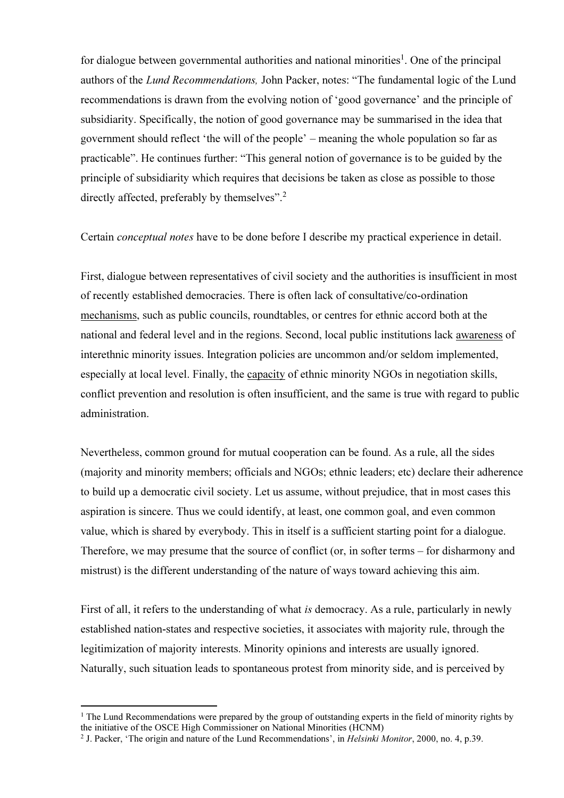for dialogue between governmental authorities and national minorities<sup>1</sup>. One of the principal authors of the Lund Recommendations, John Packer, notes: "The fundamental logic of the Lund recommendations is drawn from the evolving notion of 'good governance' and the principle of subsidiarity. Specifically, the notion of good governance may be summarised in the idea that government should reflect 'the will of the people' – meaning the whole population so far as practicable". He continues further: "This general notion of governance is to be guided by the principle of subsidiarity which requires that decisions be taken as close as possible to those directly affected, preferably by themselves".<sup>2</sup>

Certain conceptual notes have to be done before I describe my practical experience in detail.

First, dialogue between representatives of civil society and the authorities is insufficient in most of recently established democracies. There is often lack of consultative/co-ordination mechanisms, such as public councils, roundtables, or centres for ethnic accord both at the national and federal level and in the regions. Second, local public institutions lack awareness of interethnic minority issues. Integration policies are uncommon and/or seldom implemented, especially at local level. Finally, the capacity of ethnic minority NGOs in negotiation skills, conflict prevention and resolution is often insufficient, and the same is true with regard to public administration.

Nevertheless, common ground for mutual cooperation can be found. As a rule, all the sides (majority and minority members; officials and NGOs; ethnic leaders; etc) declare their adherence to build up a democratic civil society. Let us assume, without prejudice, that in most cases this aspiration is sincere. Thus we could identify, at least, one common goal, and even common value, which is shared by everybody. This in itself is a sufficient starting point for a dialogue. Therefore, we may presume that the source of conflict (or, in softer terms – for disharmony and mistrust) is the different understanding of the nature of ways toward achieving this aim.

First of all, it refers to the understanding of what is democracy. As a rule, particularly in newly established nation-states and respective societies, it associates with majority rule, through the legitimization of majority interests. Minority opinions and interests are usually ignored. Naturally, such situation leads to spontaneous protest from minority side, and is perceived by

 $\overline{a}$ 

<sup>&</sup>lt;sup>1</sup> The Lund Recommendations were prepared by the group of outstanding experts in the field of minority rights by the initiative of the OSCE High Commissioner on National Minorities (HCNM)

<sup>&</sup>lt;sup>2</sup> J. Packer, 'The origin and nature of the Lund Recommendations', in *Helsinki Monitor*, 2000, no. 4, p.39.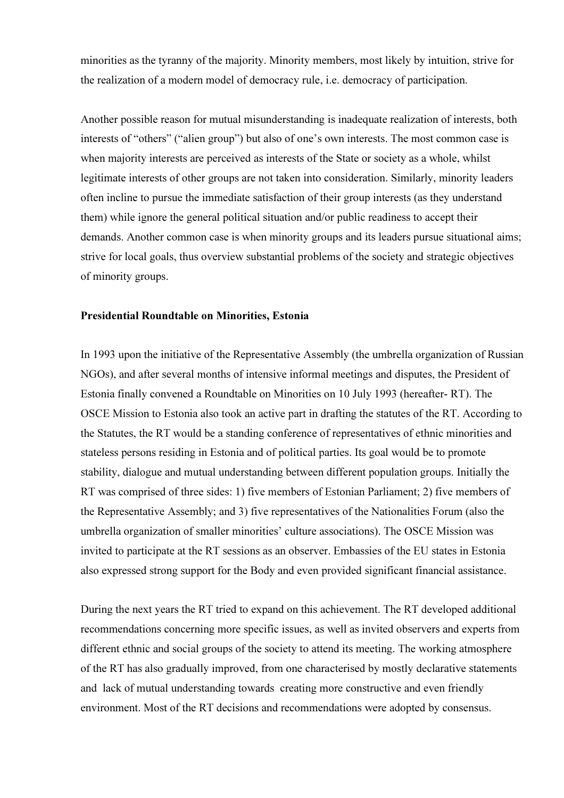minorities as the tyranny of the majority. Minority members, most likely by intuition, strive for the realization of a modern model of democracy rule, i.e. democracy of participation.

Another possible reason for mutual misunderstanding is inadequate realization of interests, both interests of "others" ("alien group") but also of one's own interests. The most common case is when majority interests are perceived as interests of the State or society as a whole, whilst legitimate interests of other groups are not taken into consideration. Similarly, minority leaders often incline to pursue the immediate satisfaction of their group interests (as they understand them) while ignore the general political situation and/or public readiness to accept their demands. Another common case is when minority groups and its leaders pursue situational aims; strive for local goals, thus overview substantial problems of the society and strategic objectives of minority groups.

### Presidential Roundtable on Minorities, Estonia

In 1993 upon the initiative of the Representative Assembly (the umbrella organization of Russian NGOs), and after several months of intensive informal meetings and disputes, the President of Estonia finally convened a Roundtable on Minorities on 10 July 1993 (hereafter- RT). The OSCE Mission to Estonia also took an active part in drafting the statutes of the RT. According to the Statutes, the RT would be a standing conference of representatives of ethnic minorities and stateless persons residing in Estonia and of political parties. Its goal would be to promote stability, dialogue and mutual understanding between different population groups. Initially the RT was comprised of three sides: 1) five members of Estonian Parliament; 2) five members of the Representative Assembly; and 3) five representatives of the Nationalities Forum (also the umbrella organization of smaller minorities' culture associations). The OSCE Mission was invited to participate at the RT sessions as an observer. Embassies of the EU states in Estonia also expressed strong support for the Body and even provided significant financial assistance.

During the next years the RT tried to expand on this achievement. The RT developed additional recommendations concerning more specific issues, as well as invited observers and experts from different ethnic and social groups of the society to attend its meeting. The working atmosphere of the RT has also gradually improved, from one characterised by mostly declarative statements and lack of mutual understanding towards creating more constructive and even friendly environment. Most of the RT decisions and recommendations were adopted by consensus.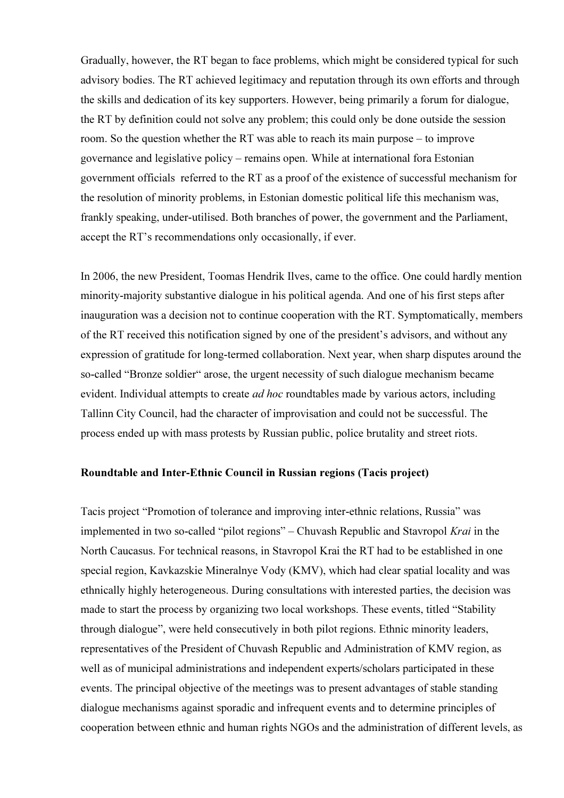Gradually, however, the RT began to face problems, which might be considered typical for such advisory bodies. The RT achieved legitimacy and reputation through its own efforts and through the skills and dedication of its key supporters. However, being primarily a forum for dialogue, the RT by definition could not solve any problem; this could only be done outside the session room. So the question whether the RT was able to reach its main purpose – to improve governance and legislative policy – remains open. While at international fora Estonian government officials referred to the RT as a proof of the existence of successful mechanism for the resolution of minority problems, in Estonian domestic political life this mechanism was, frankly speaking, under-utilised. Both branches of power, the government and the Parliament, accept the RT's recommendations only occasionally, if ever.

In 2006, the new President, Toomas Hendrik Ilves, came to the office. One could hardly mention minority-majority substantive dialogue in his political agenda. And one of his first steps after inauguration was a decision not to continue cooperation with the RT. Symptomatically, members of the RT received this notification signed by one of the president's advisors, and without any expression of gratitude for long-termed collaboration. Next year, when sharp disputes around the so-called "Bronze soldier" arose, the urgent necessity of such dialogue mechanism became evident. Individual attempts to create *ad hoc* roundtables made by various actors, including Tallinn City Council, had the character of improvisation and could not be successful. The process ended up with mass protests by Russian public, police brutality and street riots.

## Roundtable and Inter-Ethnic Council in Russian regions (Tacis project)

Tacis project "Promotion of tolerance and improving inter-ethnic relations, Russia" was implemented in two so-called "pilot regions" – Chuvash Republic and Stavropol Krai in the North Caucasus. For technical reasons, in Stavropol Krai the RT had to be established in one special region, Kavkazskie Mineralnye Vody (KMV), which had clear spatial locality and was ethnically highly heterogeneous. During consultations with interested parties, the decision was made to start the process by organizing two local workshops. These events, titled "Stability through dialogue", were held consecutively in both pilot regions. Ethnic minority leaders, representatives of the President of Chuvash Republic and Administration of KMV region, as well as of municipal administrations and independent experts/scholars participated in these events. The principal objective of the meetings was to present advantages of stable standing dialogue mechanisms against sporadic and infrequent events and to determine principles of cooperation between ethnic and human rights NGOs and the administration of different levels, as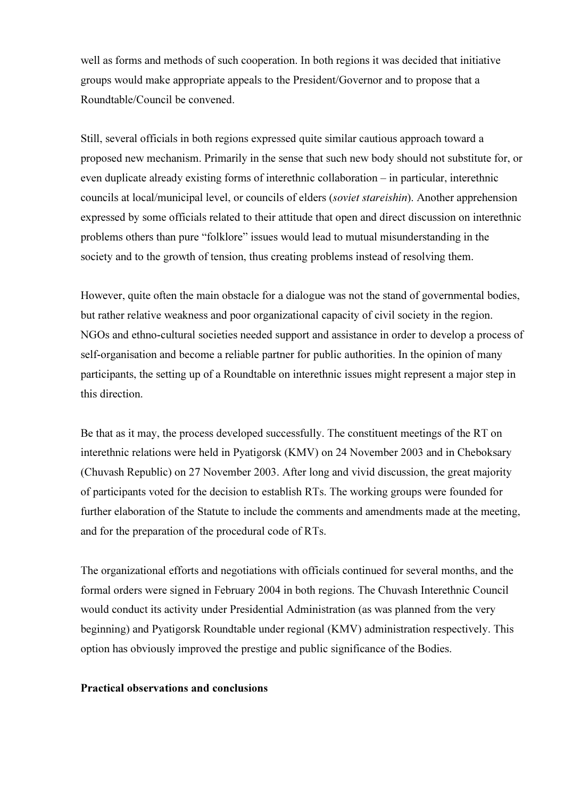well as forms and methods of such cooperation. In both regions it was decided that initiative groups would make appropriate appeals to the President/Governor and to propose that a Roundtable/Council be convened.

Still, several officials in both regions expressed quite similar cautious approach toward a proposed new mechanism. Primarily in the sense that such new body should not substitute for, or even duplicate already existing forms of interethnic collaboration – in particular, interethnic councils at local/municipal level, or councils of elders (soviet stareishin). Another apprehension expressed by some officials related to their attitude that open and direct discussion on interethnic problems others than pure "folklore" issues would lead to mutual misunderstanding in the society and to the growth of tension, thus creating problems instead of resolving them.

However, quite often the main obstacle for a dialogue was not the stand of governmental bodies, but rather relative weakness and poor organizational capacity of civil society in the region. NGOs and ethno-cultural societies needed support and assistance in order to develop a process of self-organisation and become a reliable partner for public authorities. In the opinion of many participants, the setting up of a Roundtable on interethnic issues might represent a major step in this direction.

Be that as it may, the process developed successfully. The constituent meetings of the RT on interethnic relations were held in Pyatigorsk (KMV) on 24 November 2003 and in Cheboksary (Chuvash Republic) on 27 November 2003. After long and vivid discussion, the great majority of participants voted for the decision to establish RTs. The working groups were founded for further elaboration of the Statute to include the comments and amendments made at the meeting, and for the preparation of the procedural code of RTs.

The organizational efforts and negotiations with officials continued for several months, and the formal orders were signed in February 2004 in both regions. The Chuvash Interethnic Council would conduct its activity under Presidential Administration (as was planned from the very beginning) and Pyatigorsk Roundtable under regional (KMV) administration respectively. This option has obviously improved the prestige and public significance of the Bodies.

### Practical observations and conclusions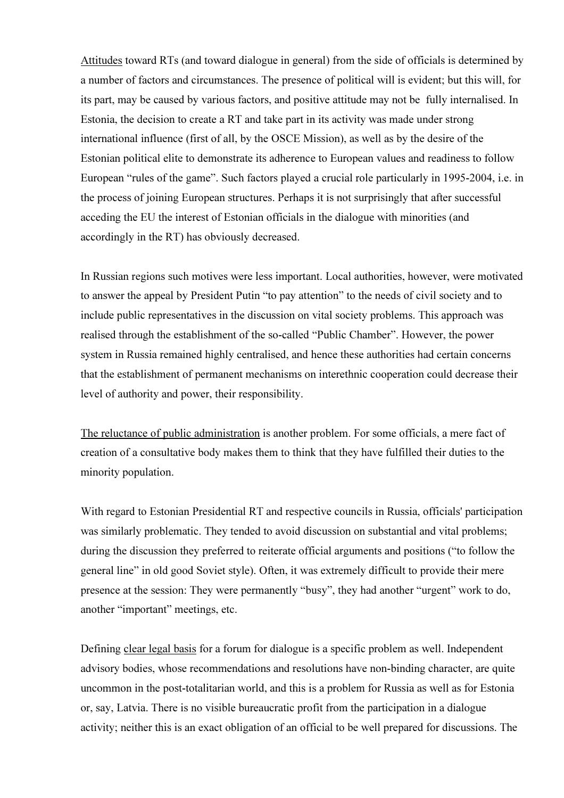Attitudes toward RTs (and toward dialogue in general) from the side of officials is determined by a number of factors and circumstances. The presence of political will is evident; but this will, for its part, may be caused by various factors, and positive attitude may not be fully internalised. In Estonia, the decision to create a RT and take part in its activity was made under strong international influence (first of all, by the OSCE Mission), as well as by the desire of the Estonian political elite to demonstrate its adherence to European values and readiness to follow European "rules of the game". Such factors played a crucial role particularly in 1995-2004, i.e. in the process of joining European structures. Perhaps it is not surprisingly that after successful acceding the EU the interest of Estonian officials in the dialogue with minorities (and accordingly in the RT) has obviously decreased.

In Russian regions such motives were less important. Local authorities, however, were motivated to answer the appeal by President Putin "to pay attention" to the needs of civil society and to include public representatives in the discussion on vital society problems. This approach was realised through the establishment of the so-called "Public Chamber". However, the power system in Russia remained highly centralised, and hence these authorities had certain concerns that the establishment of permanent mechanisms on interethnic cooperation could decrease their level of authority and power, their responsibility.

The reluctance of public administration is another problem. For some officials, a mere fact of creation of a consultative body makes them to think that they have fulfilled their duties to the minority population.

With regard to Estonian Presidential RT and respective councils in Russia, officials' participation was similarly problematic. They tended to avoid discussion on substantial and vital problems; during the discussion they preferred to reiterate official arguments and positions ("to follow the general line" in old good Soviet style). Often, it was extremely difficult to provide their mere presence at the session: They were permanently "busy", they had another "urgent" work to do, another "important" meetings, etc.

Defining clear legal basis for a forum for dialogue is a specific problem as well. Independent advisory bodies, whose recommendations and resolutions have non-binding character, are quite uncommon in the post-totalitarian world, and this is a problem for Russia as well as for Estonia or, say, Latvia. There is no visible bureaucratic profit from the participation in a dialogue activity; neither this is an exact obligation of an official to be well prepared for discussions. The